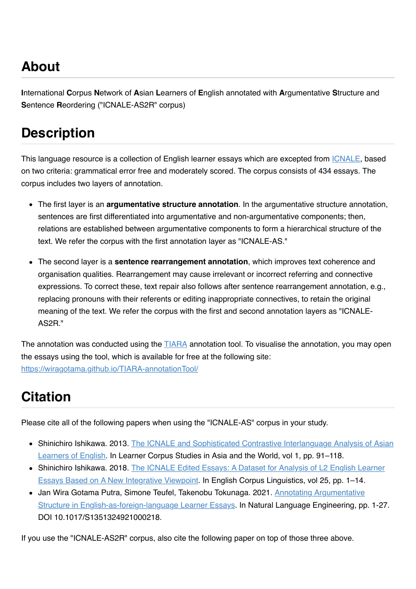# **About**

**I**nternational **C**orpus **N**etwork of **A**sian **L**earners of **E**nglish annotated with **A**rgumentative **S**tructure and **S**entence **R**eordering ("ICNALE-AS2R" corpus)

### **Description**

This language resource is a collection of English learner essays which are excepted from [ICNALE](http://language.sakura.ne.jp/icnale/), based on two criteria: grammatical error free and moderately scored. The corpus consists of 434 essays. The corpus includes two layers of annotation.

- The first layer is an **argumentative structure annotation**. In the argumentative structure annotation, sentences are first differentiated into argumentative and non-argumentative components; then, relations are established between argumentative components to form a hierarchical structure of the text. We refer the corpus with the first annotation layer as "ICNALE-AS."
- The second layer is a **sentence rearrangement annotation**, which improves text coherence and organisation qualities. Rearrangement may cause irrelevant or incorrect referring and connective expressions. To correct these, text repair also follows after sentence rearrangement annotation, e.g., replacing pronouns with their referents or editing inappropriate connectives, to retain the original meaning of the text. We refer the corpus with the first and second annotation layers as "ICNALE-AS2R."

The annotation was conducted using the **TIARA** annotation tool. To visualise the annotation, you may open the essays using the tool, which is available for free at the following site: [https://wiragotama.github.io/TIARA-annotationTool/](https://github.com/wiragotama/TIARA-annotationTool)

### **Citation**

Please cite all of the following papers when using the "ICNALE-AS" corpus in your study.

- [Shinichiro Ishikawa. 2013. The ICNALE and Sophisticated Contrastive Interlanguage Analysis of Asian](http://www.lib.kobe-u.ac.jp/infolib/meta_pub/G0000003kernel_81006678) Learners of English. In Learner Corpus Studies in Asia and the World, vol 1, pp. 91–118.
- [Shinichiro Ishikawa. 2018. The ICNALE Edited Essays: A Dataset for Analysis of L2 English Learner](http://jaecs.com/jnl/ECS25/ECS25_117-130.pdf) Essays Based on A New Integrative Viewpoint. In English Corpus Linguistics, vol 25, pp. 1–14.
- [Jan Wira Gotama Putra, Simone Teufel, Takenobu Tokunaga. 2021. Annotating Argumentative](https://www.doi.org/10.1017/S1351324921000218) Structure in English-as-foreign-language Learner Essays. In Natural Language Engineering, pp. 1-27. DOI 10.1017/S1351324921000218.

If you use the "ICNALE-AS2R" corpus, also cite the following paper on top of those three above.